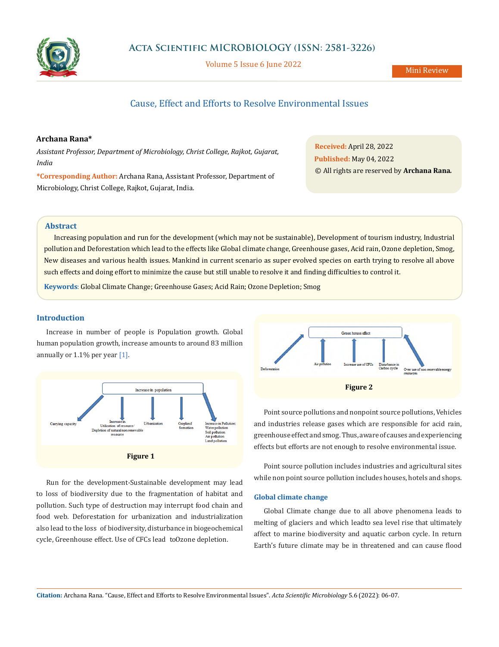

Volume 5 Issue 6 June 2022

# Cause, Effect and Efforts to Resolve Environmental Issues

## **Archana Rana\***

*Assistant Professor, Department of Microbiology, Christ College, Rajkot, Gujarat, India*

**\*Corresponding Author:** Archana Rana, Assistant Professor, Department of Microbiology, Christ College, Rajkot, Gujarat, India.

**Received:** April 28, 2022 **Published:** May 04, 2022 © All rights are reserved by **Archana Rana***.*

#### **Abstract**

Increasing population and run for the development (which may not be sustainable), Development of tourism industry, Industrial pollution and Deforestation which lead to the effects like Global climate change, Greenhouse gases, Acid rain, Ozone depletion, Smog, New diseases and various health issues. Mankind in current scenario as super evolved species on earth trying to resolve all above such effects and doing effort to minimize the cause but still unable to resolve it and finding difficulties to control it.

**Keywords**: Global Climate Change; Greenhouse Gases; Acid Rain; Ozone Depletion; Smog

### **Introduction**

Increase in number of people is Population growth. Global human population growth, increase amounts to around 83 million annually or 1.1% per year [1].



Run for the development-Sustainable development may lead to loss of biodiversity due to the fragmentation of habitat and pollution. Such type of destruction may interrupt food chain and food web. Deforestation for urbanization and industrialization also lead to the loss of biodiversity, disturbance in biogeochemical cycle, Greenhouse effect. Use of CFCs lead to Ozone depletion.



Point source pollutions and nonpoint source pollutions, Vehicles and industries release gases which are responsible for acid rain, greenhouse effect and smog. Thus, aware of causes and experiencing effects but efforts are not enough to resolve environmental issue.

Point source pollution includes industries and agricultural sites while non point source pollution includes houses, hotels and shops.

## **Global climate change**

Global Climate change due to all above phenomena leads to melting of glaciers and which lead to sea level rise that ultimately affect to marine biodiversity and aquatic carbon cycle. In return Earth's future climate may be in threatened and can cause flood

**Citation:** Archana Rana*.* "Cause, Effect and Efforts to Resolve Environmental Issues". *Acta Scientific Microbiology* 5.6 (2022): 06-07.